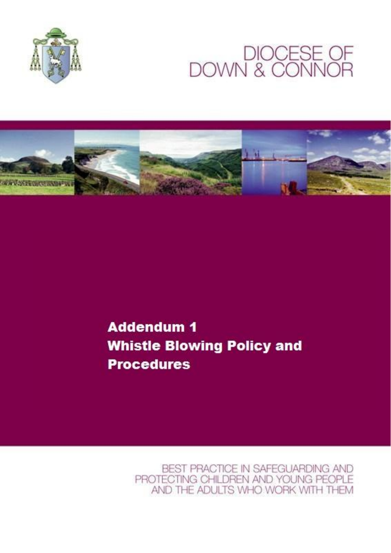

# DIOCESE OF<br>DOWN & CONNOR



**Addendum 1 Whistle Blowing Policy and Procedures** 

> BEST PRACTICE IN SAFEGUARDING AND PROTECTING CHILDREN AND YOUNG PEOPLE AND THE ADULTS WHO WORK WITH THEM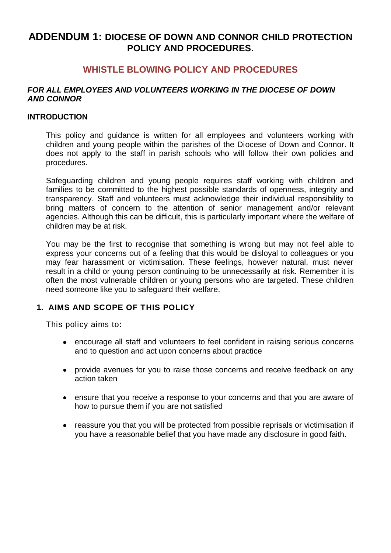# **ADDENDUM 1: DIOCESE OF DOWN AND CONNOR CHILD PROTECTION POLICY AND PROCEDURES.**

# **WHISTLE BLOWING POLICY AND PROCEDURES**

#### *FOR ALL EMPLOYEES AND VOLUNTEERS WORKING IN THE DIOCESE OF DOWN AND CONNOR*

#### **INTRODUCTION**

This policy and guidance is written for all employees and volunteers working with children and young people within the parishes of the Diocese of Down and Connor. It does not apply to the staff in parish schools who will follow their own policies and procedures.

Safeguarding children and young people requires staff working with children and families to be committed to the highest possible standards of openness, integrity and transparency. Staff and volunteers must acknowledge their individual responsibility to bring matters of concern to the attention of senior management and/or relevant agencies. Although this can be difficult, this is particularly important where the welfare of children may be at risk.

You may be the first to recognise that something is wrong but may not feel able to express your concerns out of a feeling that this would be disloyal to colleagues or you may fear harassment or victimisation. These feelings, however natural, must never result in a child or young person continuing to be unnecessarily at risk. Remember it is often the most vulnerable children or young persons who are targeted. These children need someone like you to safeguard their welfare.

# **1. AIMS AND SCOPE OF THIS POLICY**

This policy aims to:

- encourage all staff and volunteers to feel confident in raising serious concerns and to question and act upon concerns about practice
- provide avenues for you to raise those concerns and receive feedback on any action taken
- ensure that you receive a response to your concerns and that you are aware of how to pursue them if you are not satisfied
- reassure you that you will be protected from possible reprisals or victimisation if you have a reasonable belief that you have made any disclosure in good faith.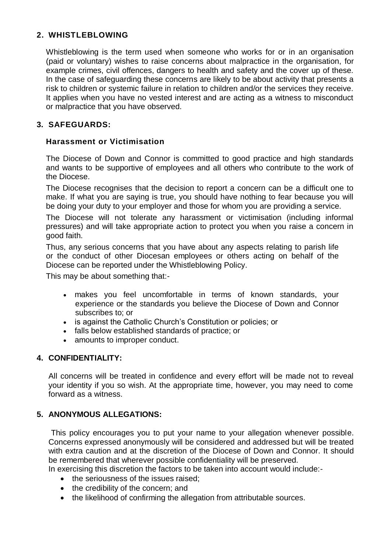# **2. WHISTLEBLOWING**

Whistleblowing is the term used when someone who works for or in an organisation (paid or voluntary) wishes to raise concerns about malpractice in the organisation, for example crimes, civil offences, dangers to health and safety and the cover up of these. In the case of safeguarding these concerns are likely to be about activity that presents a risk to children or systemic failure in relation to children and/or the services they receive. It applies when you have no vested interest and are acting as a witness to misconduct or malpractice that you have observed.

# **3. SAFEGUARDS:**

# **Harassment or Victimisation**

The Diocese of Down and Connor is committed to good practice and high standards and wants to be supportive of employees and all others who contribute to the work of the Diocese.

The Diocese recognises that the decision to report a concern can be a difficult one to make. If what you are saying is true, you should have nothing to fear because you will be doing your duty to your employer and those for whom you are providing a service.

The Diocese will not tolerate any harassment or victimisation (including informal pressures) and will take appropriate action to protect you when you raise a concern in good faith.

Thus, any serious concerns that you have about any aspects relating to parish life or the conduct of other Diocesan employees or others acting on behalf of the Diocese can be reported under the Whistleblowing Policy.

This may be about something that:-

- makes you feel uncomfortable in terms of known standards, your experience or the standards you believe the Diocese of Down and Connor subscribes to; or
- is against the Catholic Church's Constitution or policies; or
- falls below established standards of practice; or
- amounts to improper conduct.

# **4. CONFIDENTIALITY:**

All concerns will be treated in confidence and every effort will be made not to reveal your identity if you so wish. At the appropriate time, however, you may need to come forward as a witness.

# **5. ANONYMOUS ALLEGATIONS:**

This policy encourages you to put your name to your allegation whenever possible. Concerns expressed anonymously will be considered and addressed but will be treated with extra caution and at the discretion of the Diocese of Down and Connor. It should be remembered that wherever possible confidentiality will be preserved.

In exercising this discretion the factors to be taken into account would include:-

- the seriousness of the issues raised:
- the credibility of the concern; and
- the likelihood of confirming the allegation from attributable sources.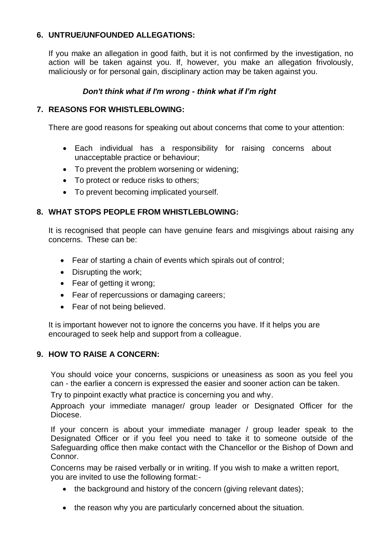### **6. UNTRUE/UNFOUNDED ALLEGATIONS:**

If you make an allegation in good faith, but it is not confirmed by the investigation, no action will be taken against you. If, however, you make an allegation frivolously, maliciously or for personal gain, disciplinary action may be taken against you.

#### *Don't think what if I'm wrong - think what if I'm right*

#### **7. REASONS FOR WHISTLEBLOWING:**

There are good reasons for speaking out about concerns that come to your attention:

- Each individual has a responsibility for raising concerns about unacceptable practice or behaviour;
- To prevent the problem worsening or widening;
- To protect or reduce risks to others;
- To prevent becoming implicated yourself.

### **8. WHAT STOPS PEOPLE FROM WHISTLEBLOWING:**

It is recognised that people can have genuine fears and misgivings about raising any concerns. These can be:

- Fear of starting a chain of events which spirals out of control;
- Disrupting the work;
- Fear of getting it wrong;
- Fear of repercussions or damaging careers;
- Fear of not being believed.

It is important however not to ignore the concerns you have. If it helps you are encouraged to seek help and support from a colleague.

#### **9. HOW TO RAISE A CONCERN:**

You should voice your concerns, suspicions or uneasiness as soon as you feel you can - the earlier a concern is expressed the easier and sooner action can be taken.

Try to pinpoint exactly what practice is concerning you and why.

Approach your immediate manager/ group leader or Designated Officer for the Diocese.

If your concern is about your immediate manager / group leader speak to the Designated Officer or if you feel you need to take it to someone outside of the Safeguarding office then make contact with the Chancellor or the Bishop of Down and Connor.

Concerns may be raised verbally or in writing. If you wish to make a written report, you are invited to use the following format:-

- the background and history of the concern (giving relevant dates);
- the reason why you are particularly concerned about the situation.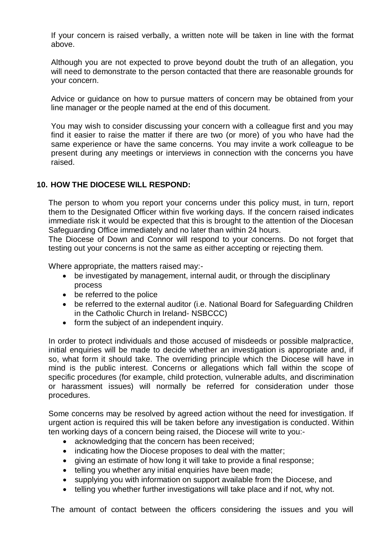If your concern is raised verbally, a written note will be taken in line with the format above.

Although you are not expected to prove beyond doubt the truth of an allegation, you will need to demonstrate to the person contacted that there are reasonable grounds for your concern.

Advice or guidance on how to pursue matters of concern may be obtained from your line manager or the people named at the end of this document.

You may wish to consider discussing your concern with a colleague first and you may find it easier to raise the matter if there are two (or more) of you who have had the same experience or have the same concerns. You may invite a work colleague to be present during any meetings or interviews in connection with the concerns you have raised.

### **10. HOW THE DIOCESE WILL RESPOND:**

The person to whom you report your concerns under this policy must, in turn, report them to the Designated Officer within five working days. If the concern raised indicates immediate risk it would be expected that this is brought to the attention of the Diocesan Safeguarding Office immediately and no later than within 24 hours.

The Diocese of Down and Connor will respond to your concerns. Do not forget that testing out your concerns is not the same as either accepting or rejecting them.

Where appropriate, the matters raised may:-

- be investigated by management, internal audit, or through the disciplinary process
- be referred to the police
- be referred to the external auditor (i.e. National Board for Safeguarding Children in the Catholic Church in Ireland- NSBCCC)
- form the subject of an independent inquiry.

In order to protect individuals and those accused of misdeeds or possible malpractice, initial enquiries will be made to decide whether an investigation is appropriate and, if so, what form it should take. The overriding principle which the Diocese will have in mind is the public interest. Concerns or allegations which fall within the scope of specific procedures (for example, child protection, vulnerable adults, and discrimination or harassment issues) will normally be referred for consideration under those procedures.

Some concerns may be resolved by agreed action without the need for investigation. If urgent action is required this will be taken before any investigation is conducted. Within ten working days of a concern being raised, the Diocese will write to you:-

- acknowledging that the concern has been received;
- indicating how the Diocese proposes to deal with the matter;
- giving an estimate of how long it will take to provide a final response;
- telling you whether any initial enquiries have been made;
- supplying you with information on support available from the Diocese, and
- telling you whether further investigations will take place and if not, why not.

The amount of contact between the officers considering the issues and you will